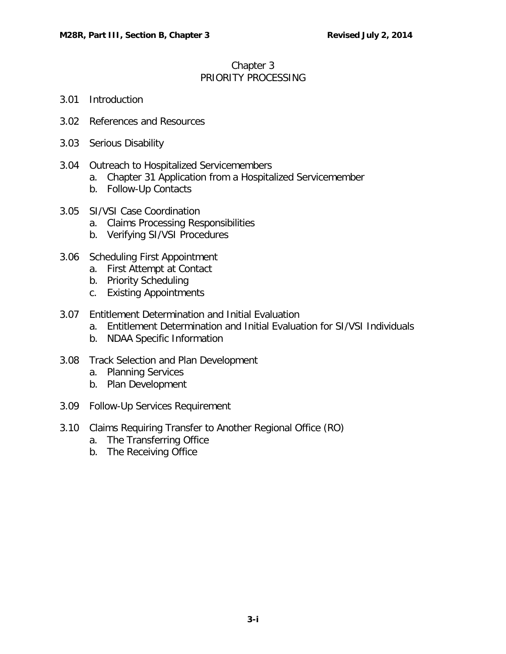## Chapter 3 PRIORITY PROCESSING

- 3.01 [Introduction](#page-1-0)
- 3.02 [References and Resources](#page-1-1)
- 3.03 [Serious Disability](#page-1-2)
- 3.04 [Outreach to Hospitalized Servicemembers](#page-2-0)
	- a. [Chapter 31 Application from a Hospitalized Servicemember](#page-2-1)
	- b. [Follow-Up Contacts](#page-2-2)
- 3.05 SI/VSI [Case Coordination](#page-2-3)
	- a. [Claims Processing Responsibilities](#page-2-4)
	- b. [Verifying SI/VSI Procedures](#page-2-5)
- 3.06 [Scheduling First Appointment](#page-3-0)
	- a. [First Attempt at Contact](#page-3-1)
	- b. [Priority Scheduling](#page-3-2)
	- c. [Existing Appointments](#page-4-0)
- 3.07 [Entitlement Determination and Initial Evaluation](#page-4-1)
	- a. [Entitlement Determination and Initial Evaluation for SI/VSI Individuals](#page-4-2)
	- b. [NDAA Specific Information](#page-4-3)
- 3.08 [Track Selection and Plan Development](#page-5-0)
	- a. [Planning Services](#page-5-1)
	- b. [Plan Development](#page-6-0)
- 3.09 [Follow-Up Services Requirement](#page-6-1)
- 3.10 [Claims Requiring Transfer to Another Regional Office \(RO\)](#page-7-0)
	- a. [The Transferring Office](#page-7-1)
	- b. [The Receiving Office](#page-7-2)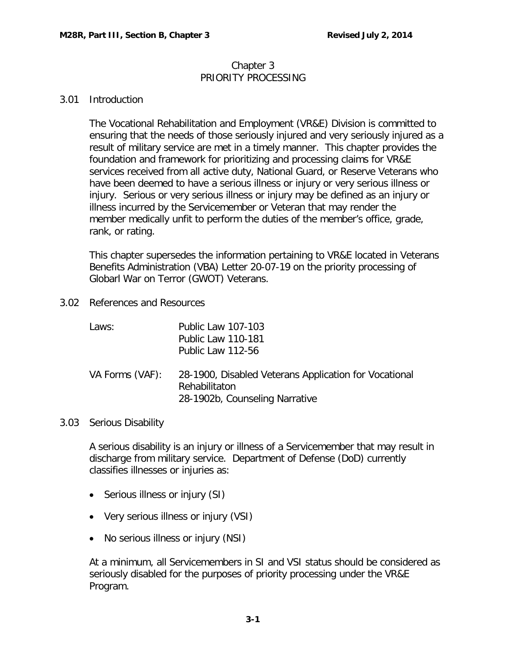#### Chapter 3 PRIORITY PROCESSING

## <span id="page-1-0"></span>3.01 Introduction

The Vocational Rehabilitation and Employment (VR&E) Division is committed to ensuring that the needs of those seriously injured and very seriously injured as a result of military service are met in a timely manner. This chapter provides the foundation and framework for prioritizing and processing claims for VR&E services received from all active duty, National Guard, or Reserve Veterans who have been deemed to have a serious illness or injury or very serious illness or injury. Serious or very serious illness or injury may be defined as an injury or illness incurred by the Servicemember or Veteran that may render the member medically unfit to perform the duties of the member's office, grade, rank, or rating.

This chapter supersedes the information pertaining to VR&E located in Veterans Benefits Administration (VBA) Letter 20-07-19 on the priority processing of Globarl War on Terror (GWOT) Veterans.

<span id="page-1-1"></span>3.02 References and Resources

| Laws:           | <b>Public Law 107-103</b><br><b>Public Law 110-181</b><br>Public Law 112-56                              |
|-----------------|----------------------------------------------------------------------------------------------------------|
| VA Forms (VAF): | 28-1900, Disabled Veterans Application for Vocational<br>Rehabilitaton<br>28-1902b, Counseling Narrative |

#### <span id="page-1-2"></span>3.03 Serious Disability

A serious disability is an injury or illness of a Servicemember that may result in discharge from military service. Department of Defense (DoD) currently classifies illnesses or injuries as:

- Serious illness or injury (SI)
- Very serious illness or injury (VSI)
- No serious illness or injury (NSI)

At a minimum, all Servicemembers in SI and VSI status should be considered as seriously disabled for the purposes of priority processing under the VR&E Program.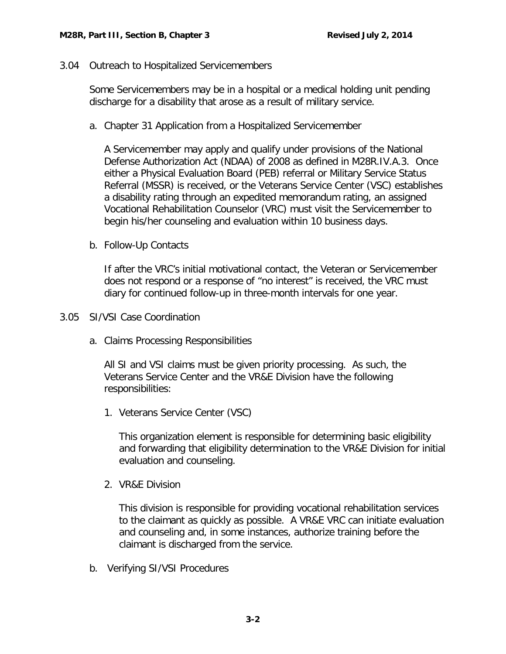<span id="page-2-0"></span>3.04 Outreach to Hospitalized Servicemembers

Some Servicemembers may be in a hospital or a medical holding unit pending discharge for a disability that arose as a result of military service.

<span id="page-2-1"></span>a. Chapter 31 Application from a Hospitalized Servicemember

A Servicemember may apply and qualify under provisions of the National Defense Authorization Act (NDAA) of 2008 as defined in M28R.IV.A.3. Once either a Physical Evaluation Board (PEB) referral or Military Service Status Referral (MSSR) is received, or the Veterans Service Center (VSC) establishes a disability rating through an expedited memorandum rating, an assigned Vocational Rehabilitation Counselor (VRC) must visit the Servicemember to begin his/her counseling and evaluation within 10 business days.

<span id="page-2-2"></span>b. Follow-Up Contacts

If after the VRC's initial motivational contact, the Veteran or Servicemember does not respond or a response of "no interest" is received, the VRC must diary for continued follow-up in three-month intervals for one year.

<span id="page-2-4"></span><span id="page-2-3"></span>3.05 SI/VSI Case Coordination

a. Claims Processing Responsibilities

All SI and VSI claims must be given priority processing. As such, the Veterans Service Center and the VR&E Division have the following responsibilities:

1. Veterans Service Center (VSC)

This organization element is responsible for determining basic eligibility and forwarding that eligibility determination to the VR&E Division for initial evaluation and counseling.

2. VR&E Division

This division is responsible for providing vocational rehabilitation services to the claimant as quickly as possible. A VR&E VRC can initiate evaluation and counseling and, in some instances, authorize training before the claimant is discharged from the service.

<span id="page-2-5"></span>b. Verifying SI/VSI Procedures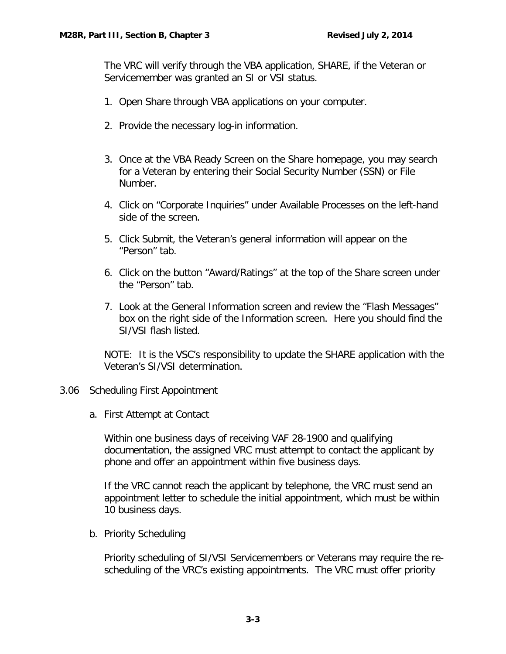The VRC will verify through the VBA application, SHARE, if the Veteran or Servicemember was granted an SI or VSI status.

- 1. Open Share through VBA applications on your computer.
- 2. Provide the necessary log-in information.
- 3. Once at the VBA Ready Screen on the Share homepage, you may search for a Veteran by entering their Social Security Number (SSN) or File Number.
- 4. Click on "Corporate Inquiries" under Available Processes on the left-hand side of the screen.
- 5. Click Submit, the Veteran's general information will appear on the "Person" tab.
- 6. Click on the button "Award/Ratings" at the top of the Share screen under the "Person" tab.
- 7. Look at the General Information screen and review the "Flash Messages" box on the right side of the Information screen. Here you should find the SI/VSI flash listed.

NOTE: It is the VSC's responsibility to update the SHARE application with the Veteran's SI/VSI determination.

# <span id="page-3-1"></span><span id="page-3-0"></span>3.06 Scheduling First Appointment

a. First Attempt at Contact

Within one business days of receiving VAF 28-1900 and qualifying documentation, the assigned VRC must attempt to contact the applicant by phone and offer an appointment within five business days.

If the VRC cannot reach the applicant by telephone, the VRC must send an appointment letter to schedule the initial appointment, which must be within 10 business days.

<span id="page-3-2"></span>b. Priority Scheduling

Priority scheduling of SI/VSI Servicemembers or Veterans may require the rescheduling of the VRC's existing appointments. The VRC must offer priority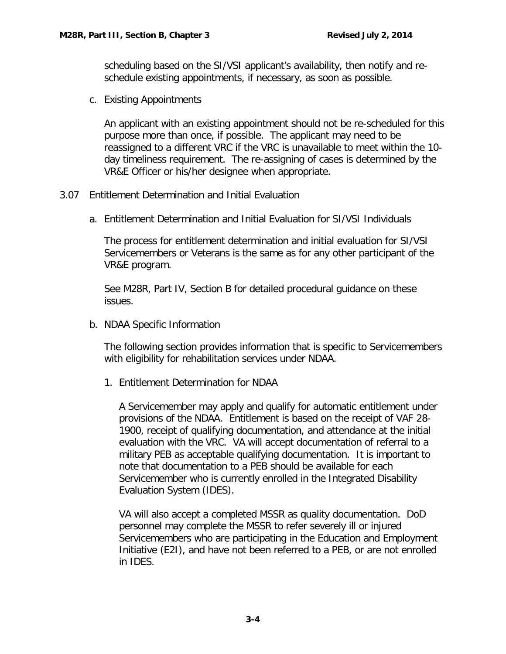scheduling based on the SI/VSI applicant's availability, then notify and reschedule existing appointments, if necessary, as soon as possible.

<span id="page-4-0"></span>c. Existing Appointments

An applicant with an existing appointment should not be re-scheduled for this purpose more than once, if possible. The applicant may need to be reassigned to a different VRC if the VRC is unavailable to meet within the 10 day timeliness requirement. The re-assigning of cases is determined by the VR&E Officer or his/her designee when appropriate.

- <span id="page-4-2"></span><span id="page-4-1"></span>3.07 Entitlement Determination and Initial Evaluation
	- a. Entitlement Determination and Initial Evaluation for SI/VSI Individuals

The process for entitlement determination and initial evaluation for SI/VSI Servicemembers or Veterans is the same as for any other participant of the VR&E program.

See M28R, Part IV, Section B for detailed procedural guidance on these issues.

<span id="page-4-3"></span>b. NDAA Specific Information

The following section provides information that is specific to Servicemembers with eligibility for rehabilitation services under NDAA.

1. Entitlement Determination for NDAA

A Servicemember may apply and qualify for automatic entitlement under provisions of the NDAA. Entitlement is based on the receipt of VAF 28- 1900, receipt of qualifying documentation, and attendance at the initial evaluation with the VRC. VA will accept documentation of referral to a military PEB as acceptable qualifying documentation. It is important to note that documentation to a PEB should be available for each Servicemember who is currently enrolled in the Integrated Disability Evaluation System (IDES).

VA will also accept a completed MSSR as quality documentation. DoD personnel may complete the MSSR to refer severely ill or injured Servicemembers who are participating in the Education and Employment Initiative (E2I), and have not been referred to a PEB, or are not enrolled in IDES.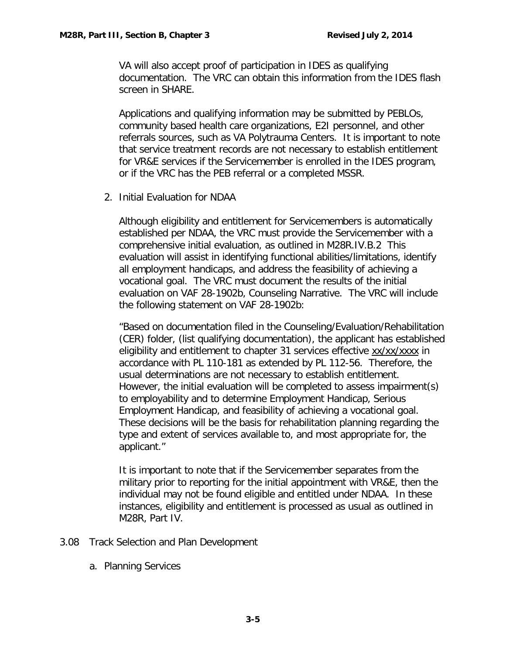VA will also accept proof of participation in IDES as qualifying documentation. The VRC can obtain this information from the IDES flash screen in SHARE.

Applications and qualifying information may be submitted by PEBLOs, community based health care organizations, E2I personnel, and other referrals sources, such as VA Polytrauma Centers. It is important to note that service treatment records are not necessary to establish entitlement for VR&E services if the Servicemember is enrolled in the IDES program, or if the VRC has the PEB referral or a completed MSSR.

2. Initial Evaluation for NDAA

Although eligibility and entitlement for Servicemembers is automatically established per NDAA, the VRC must provide the Servicemember with a comprehensive initial evaluation, as outlined in M28R.IV.B.2 This evaluation will assist in identifying functional abilities/limitations, identify all employment handicaps, and address the feasibility of achieving a vocational goal. The VRC must document the results of the initial evaluation on VAF 28-1902b, Counseling Narrative. The VRC will include the following statement on VAF 28-1902b:

"Based on documentation filed in the Counseling/Evaluation/Rehabilitation (CER) folder, (list qualifying documentation), the applicant has established eligibility and entitlement to chapter 31 services effective xx/xx/xxxx in accordance with PL 110-181 as extended by PL 112-56. Therefore, the usual determinations are not necessary to establish entitlement. However, the initial evaluation will be completed to assess impairment(s) to employability and to determine Employment Handicap, Serious Employment Handicap, and feasibility of achieving a vocational goal. These decisions will be the basis for rehabilitation planning regarding the type and extent of services available to, and most appropriate for, the applicant."

It is important to note that if the Servicemember separates from the military prior to reporting for the initial appointment with VR&E, then the individual may not be found eligible and entitled under NDAA. In these instances, eligibility and entitlement is processed as usual as outlined in M28R, Part IV.

- <span id="page-5-1"></span><span id="page-5-0"></span>3.08 Track Selection and Plan Development
	- a. Planning Services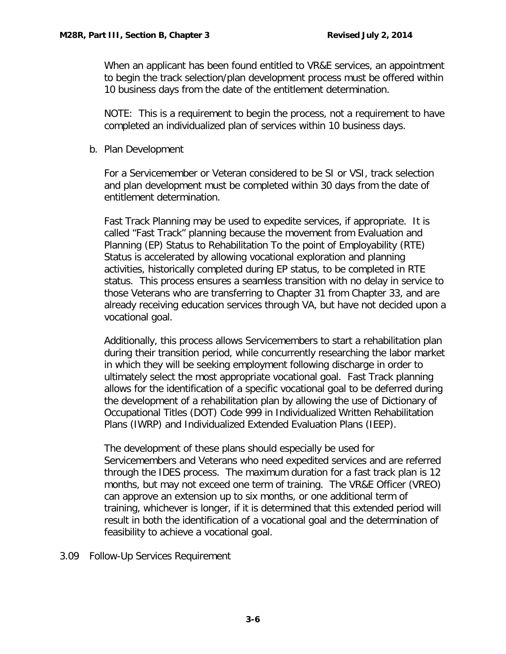When an applicant has been found entitled to VR&E services, an appointment to begin the track selection/plan development process must be offered within 10 business days from the date of the entitlement determination.

 NOTE: This is a requirement to begin the process, not a requirement to have completed an individualized plan of services within 10 business days.

<span id="page-6-0"></span>b. Plan Development

For a Servicemember or Veteran considered to be SI or VSI, track selection and plan development must be completed within 30 days from the date of entitlement determination.

Fast Track Planning may be used to expedite services, if appropriate. It is called "Fast Track" planning because the movement from Evaluation and Planning (EP) Status to Rehabilitation To the point of Employability (RTE) Status is accelerated by allowing vocational exploration and planning activities, historically completed during EP status, to be completed in RTE status. This process ensures a seamless transition with no delay in service to those Veterans who are transferring to Chapter 31 from Chapter 33, and are already receiving education services through VA, but have not decided upon a vocational goal.

Additionally, this process allows Servicemembers to start a rehabilitation plan during their transition period, while concurrently researching the labor market in which they will be seeking employment following discharge in order to ultimately select the most appropriate vocational goal. Fast Track planning allows for the identification of a specific vocational goal to be deferred during the development of a rehabilitation plan by allowing the use of Dictionary of Occupational Titles (DOT) Code 999 in Individualized Written Rehabilitation Plans (IWRP) and Individualized Extended Evaluation Plans (IEEP).

The development of these plans should especially be used for Servicemembers and Veterans who need expedited services and are referred through the IDES process. The maximum duration for a fast track plan is 12 months, but may not exceed one term of training. The VR&E Officer (VREO) can approve an extension up to six months, or one additional term of training, whichever is longer, if it is determined that this extended period will result in both the identification of a vocational goal and the determination of feasibility to achieve a vocational goal.

<span id="page-6-1"></span>3.09 Follow-Up Services Requirement